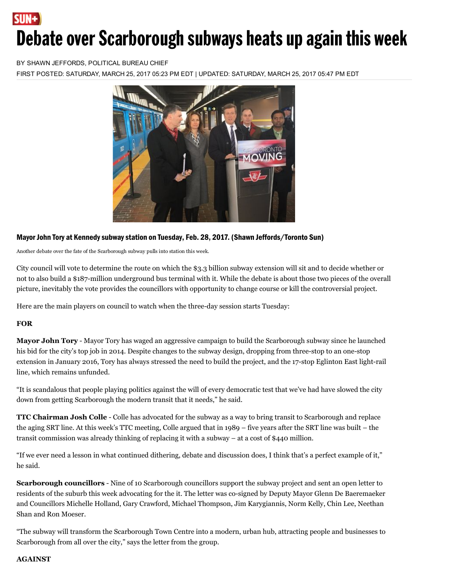# Debate over Scarborough subways heats up again this week

# BY SHAWN [JEFFORDS](http://www.torontosun.com/author/shawn-jeffordspbc), POLITICAL BUREAU CHIEF

FIRST POSTED: SATURDAY, MARCH 25, 2017 05:23 PM EDT | UPDATED: SATURDAY, MARCH 25, 2017 05:47 PM EDT



# Mayor John Tory at Kennedy subway station on Tuesday, Feb. 28, 2017. (Shawn Jeffords/Toronto Sun)

Another debate over the fate of the Scarborough subway pulls into station this week.

City council will vote to determine the route on which the \$3.3 billion subway extension will sit and to decide whether or not to also build a \$187-million underground bus terminal with it. While the debate is about those two pieces of the overall picture, inevitably the vote provides the councillors with opportunity to change course or kill the controversial project.

Here are the main players on council to watch when the three-day session starts Tuesday:

## FOR

Mayor John Tory - Mayor Tory has waged an aggressive campaign to build the Scarborough subway since he launched his bid for the city's top job in 2014. Despite changes to the subway design, dropping from three-stop to an one-stop extension in January 2016, Tory has always stressed the need to build the project, and the 17-stop Eglinton East light-rail line, which remains unfunded.

"It is scandalous that people playing politics against the will of every democratic test that we've had have slowed the city down from getting Scarborough the modern transit that it needs," he said.

TTC Chairman Josh Colle - Colle has advocated for the subway as a way to bring transit to Scarborough and replace the aging SRT line. At this week's TTC meeting, Colle argued that in 1989 – five years after the SRT line was built – the transit commission was already thinking of replacing it with a subway – at a cost of \$440 million.

"If we ever need a lesson in what continued dithering, debate and discussion does, I think that's a perfect example of it," he said.

**Scarborough councillors** - Nine of 10 Scarborough councillors support the subway project and sent an open letter to residents of the suburb this week advocating for the it. The letter was co-signed by Deputy Mayor Glenn De Baeremaeker and Councillors Michelle Holland, Gary Crawford, Michael Thompson, Jim Karygiannis, Norm Kelly, Chin Lee, Neethan Shan and Ron Moeser.

"The subway will transform the Scarborough Town Centre into a modern, urban hub, attracting people and businesses to Scarborough from all over the city," says the letter from the group.

## AGAINST